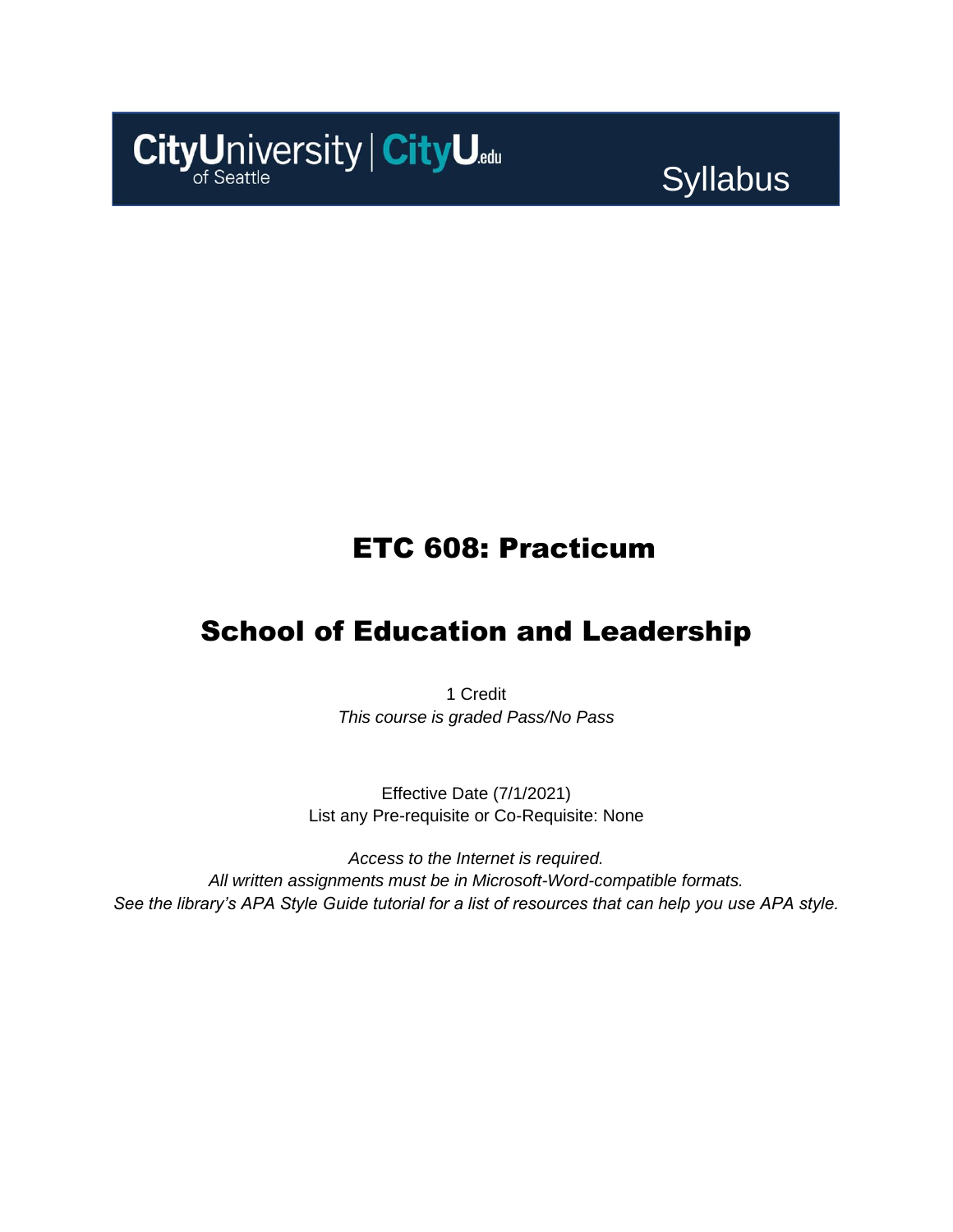

Syllabus

# ETC 608: Practicum

# School of Education and Leadership

1 Credit *This course is graded Pass/No Pass*

Effective Date (7/1/2021) List any Pre-requisite or Co-Requisite: None

*Access to the Internet is required. All written assignments must be in Microsoft-Word-compatible formats. See the library's APA Style Guide tutorial for a list of resources that can help you use APA style.*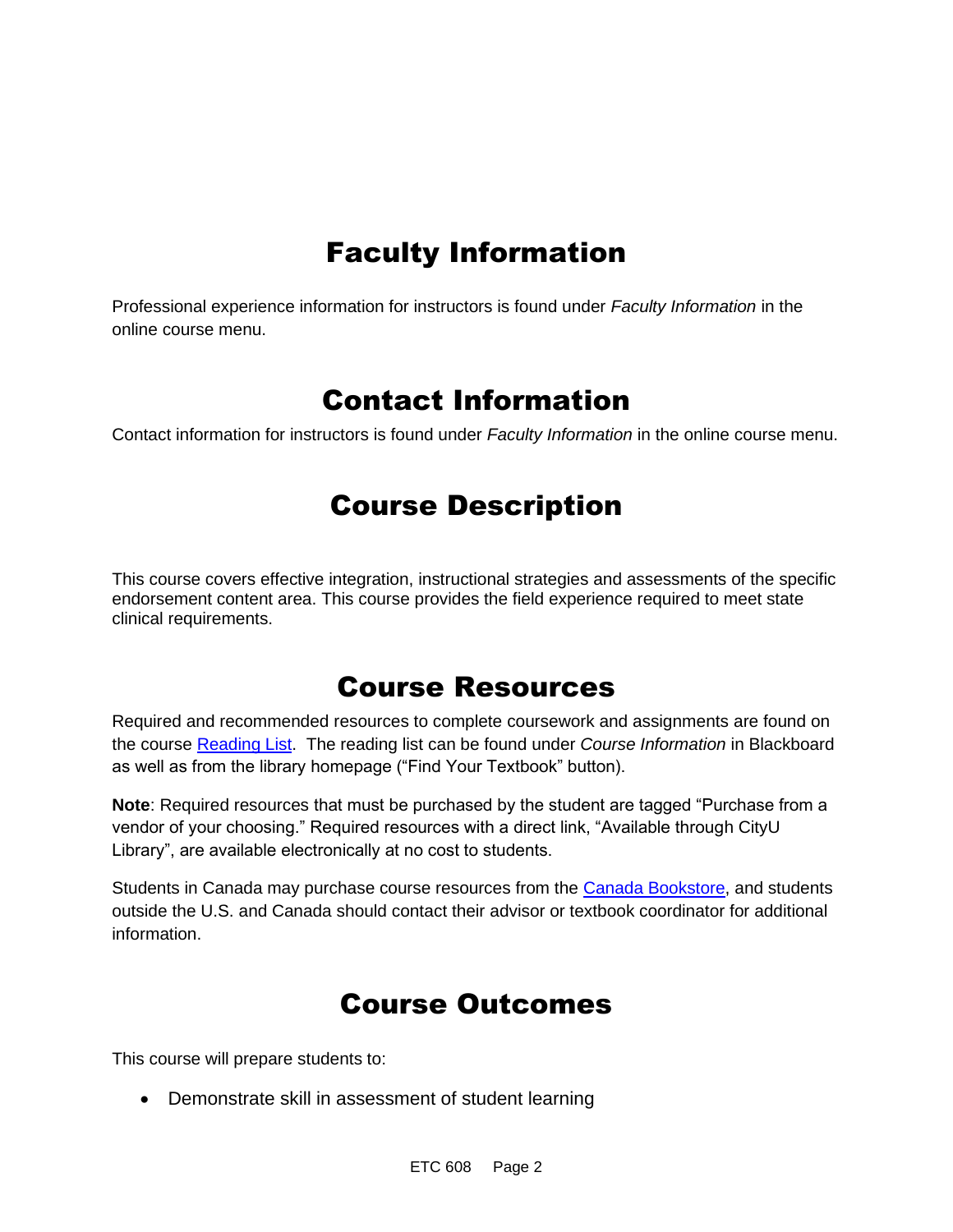# Faculty Information

Professional experience information for instructors is found under *Faculty Information* in the online course menu.

### Contact Information

Contact information for instructors is found under *Faculty Information* in the online course menu.

# Course Description

This course covers effective integration, instructional strategies and assessments of the specific endorsement content area. This course provides the field experience required to meet state clinical requirements.

### Course Resources

Required and recommended resources to complete coursework and assignments are found on the course [Reading List.](https://cityu.alma.exlibrisgroup.com/leganto/login?auth=SAML) The reading list can be found under *Course Information* in Blackboard as well as from the library homepage ("Find Your Textbook" button).

**Note**: Required resources that must be purchased by the student are tagged "Purchase from a vendor of your choosing." Required resources with a direct link, "Available through CityU Library", are available electronically at no cost to students.

Students in Canada may purchase course resources from the [Canada Bookstore,](https://www.cityubookstore.ca/index.asp) and students outside the U.S. and Canada should contact their advisor or textbook coordinator for additional information.

# Course Outcomes

This course will prepare students to:

• Demonstrate skill in assessment of student learning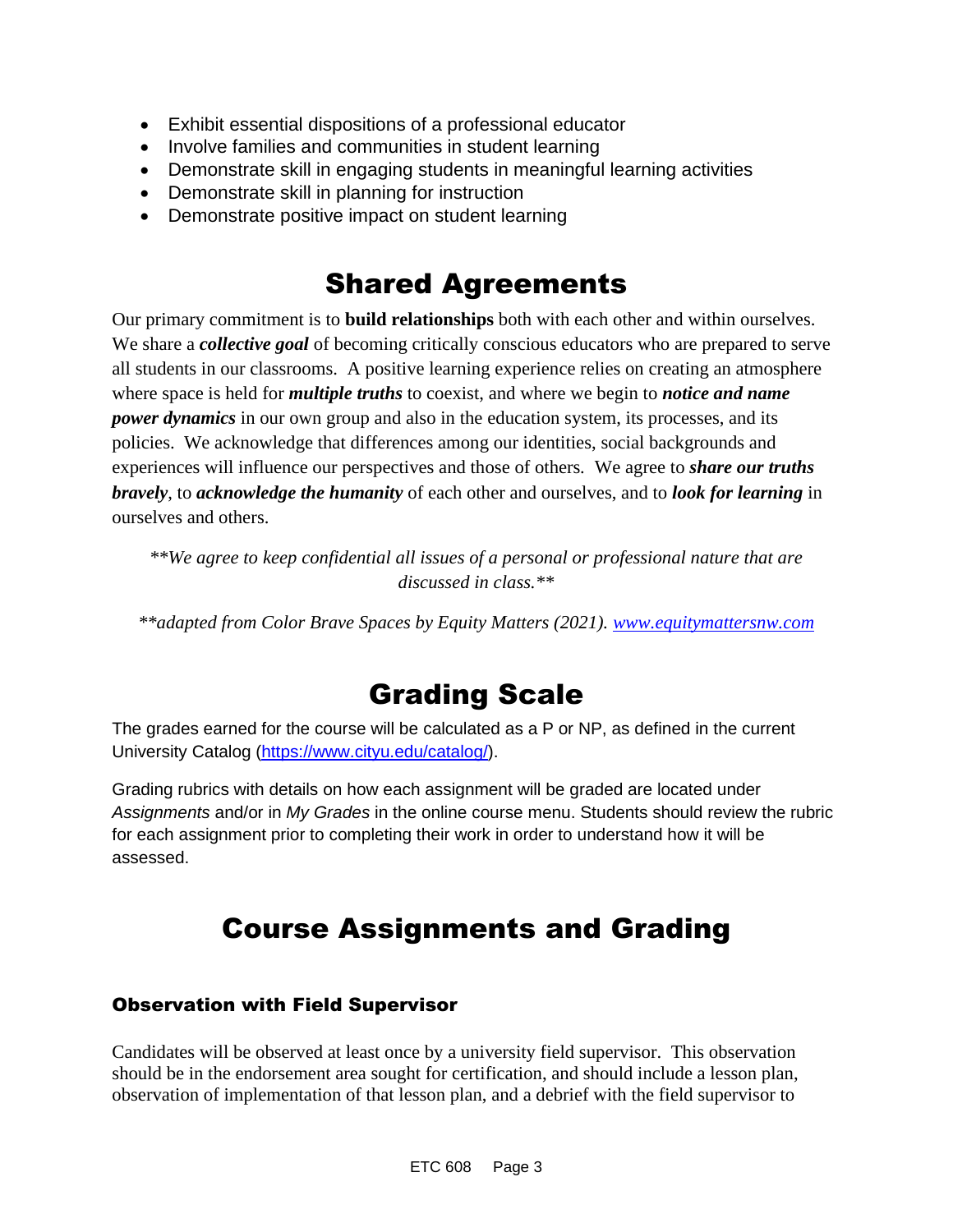- Exhibit essential dispositions of a professional educator
- Involve families and communities in student learning
- Demonstrate skill in engaging students in meaningful learning activities
- Demonstrate skill in planning for instruction
- Demonstrate positive impact on student learning

### Shared Agreements

Our primary commitment is to **build relationships** both with each other and within ourselves. We share a *collective goal* of becoming critically conscious educators who are prepared to serve all students in our classrooms. A positive learning experience relies on creating an atmosphere where space is held for *multiple truths* to coexist, and where we begin to *notice and name power dynamics* in our own group and also in the education system, its processes, and its policies. We acknowledge that differences among our identities, social backgrounds and experiences will influence our perspectives and those of others*.* We agree to *share our truths bravely*, to *acknowledge the humanity* of each other and ourselves, and to *look for learning* in ourselves and others.

*\*\*We agree to keep confidential all issues of a personal or professional nature that are discussed in class.\*\**

*\*\*adapted from Color Brave Spaces by Equity Matters (2021). [www.equitymattersnw.com](http://www.equitymattersnw.com/)*

# Grading Scale

The grades earned for the course will be calculated as a P or NP, as defined in the current University Catalog [\(https://www.cityu.edu/catalog/\)](https://www.cityu.edu/catalog/).

Grading rubrics with details on how each assignment will be graded are located under *Assignments* and/or in *My Grades* in the online course menu. Students should review the rubric for each assignment prior to completing their work in order to understand how it will be assessed.

# Course Assignments and Grading

#### Observation with Field Supervisor

Candidates will be observed at least once by a university field supervisor. This observation should be in the endorsement area sought for certification, and should include a lesson plan, observation of implementation of that lesson plan, and a debrief with the field supervisor to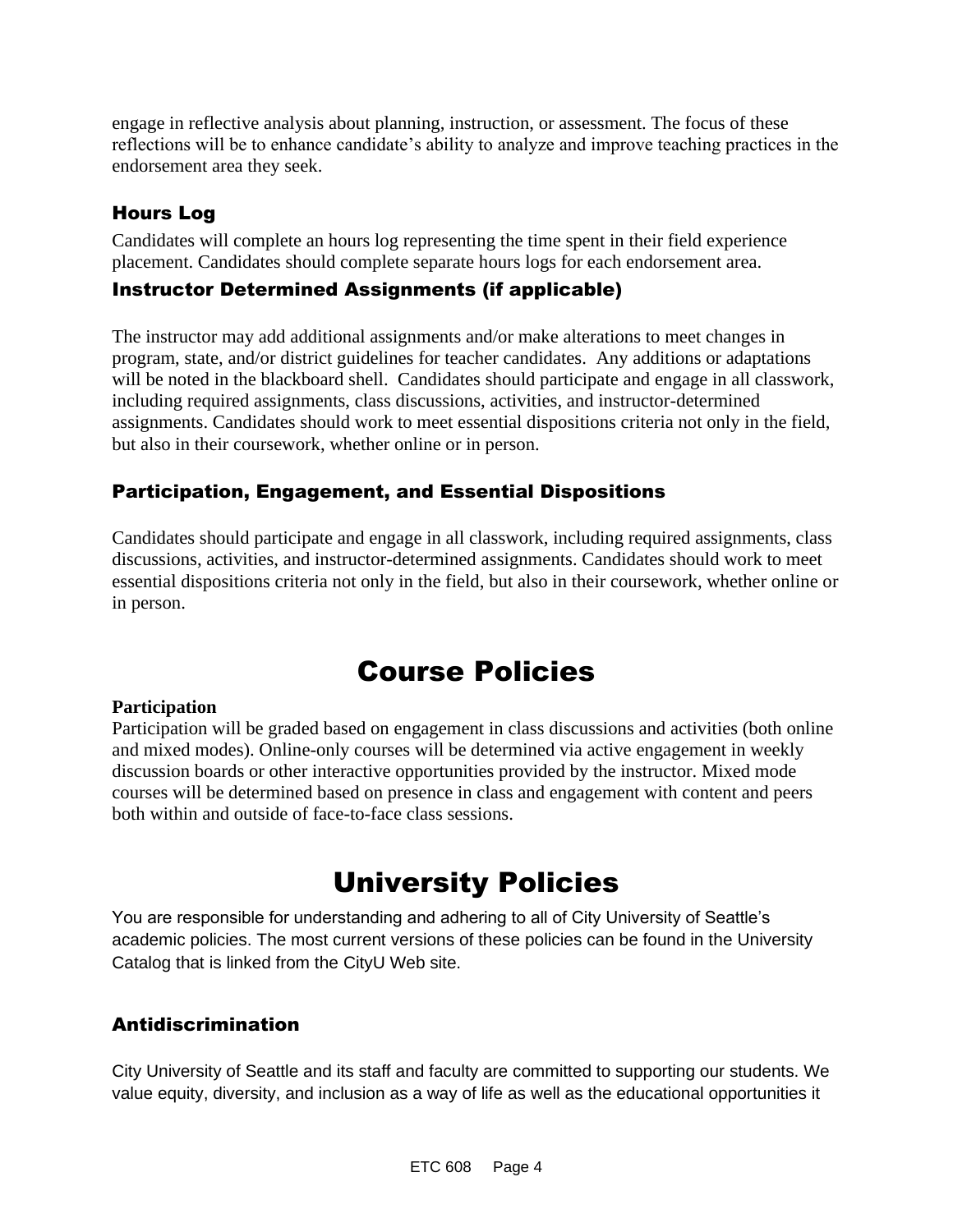engage in reflective analysis about planning, instruction, or assessment. The focus of these reflections will be to enhance candidate's ability to analyze and improve teaching practices in the endorsement area they seek.

### Hours Log

Candidates will complete an hours log representing the time spent in their field experience placement. Candidates should complete separate hours logs for each endorsement area.

#### Instructor Determined Assignments (if applicable)

The instructor may add additional assignments and/or make alterations to meet changes in program, state, and/or district guidelines for teacher candidates. Any additions or adaptations will be noted in the blackboard shell. Candidates should participate and engage in all classwork, including required assignments, class discussions, activities, and instructor-determined assignments. Candidates should work to meet essential dispositions criteria not only in the field, but also in their coursework, whether online or in person.

### Participation, Engagement, and Essential Dispositions

Candidates should participate and engage in all classwork, including required assignments, class discussions, activities, and instructor-determined assignments. Candidates should work to meet essential dispositions criteria not only in the field, but also in their coursework, whether online or in person.

# Course Policies

#### **Participation**

Participation will be graded based on engagement in class discussions and activities (both online and mixed modes). Online-only courses will be determined via active engagement in weekly discussion boards or other interactive opportunities provided by the instructor. Mixed mode courses will be determined based on presence in class and engagement with content and peers both within and outside of face-to-face class sessions.

# University Policies

You are responsible for understanding and adhering to all of City University of Seattle's academic policies. The most current versions of these policies can be found in the University Catalog that is linked from the CityU Web site.

#### Antidiscrimination

City University of Seattle and its staff and faculty are committed to supporting our students. We value equity, diversity, and inclusion as a way of life as well as the educational opportunities it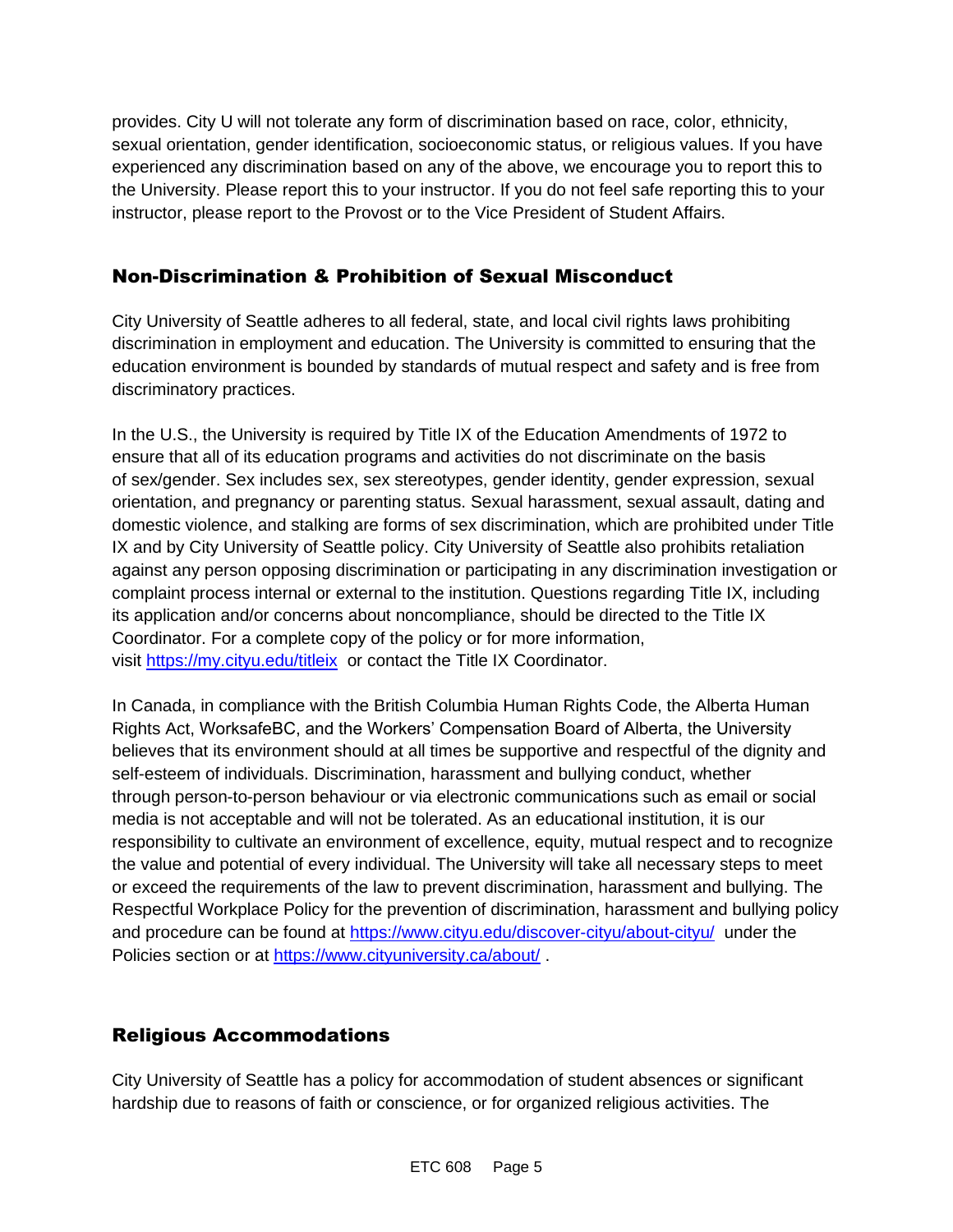provides. City U will not tolerate any form of discrimination based on race, color, ethnicity, sexual orientation, gender identification, socioeconomic status, or religious values. If you have experienced any discrimination based on any of the above, we encourage you to report this to the University. Please report this to your instructor. If you do not feel safe reporting this to your instructor, please report to the Provost or to the Vice President of Student Affairs.

#### Non-Discrimination & Prohibition of Sexual Misconduct

City University of Seattle adheres to all federal, state, and local civil rights laws prohibiting discrimination in employment and education. The University is committed to ensuring that the education environment is bounded by standards of mutual respect and safety and is free from discriminatory practices.

In the U.S., the University is required by Title IX of the Education Amendments of 1972 to ensure that all of its education programs and activities do not discriminate on the basis of sex/gender. Sex includes sex, sex stereotypes, gender identity, gender expression, sexual orientation, and pregnancy or parenting status. Sexual harassment, sexual assault, dating and domestic violence, and stalking are forms of sex discrimination, which are prohibited under Title IX and by City University of Seattle policy. City University of Seattle also prohibits retaliation against any person opposing discrimination or participating in any discrimination investigation or complaint process internal or external to the institution. Questions regarding Title IX, including its application and/or concerns about noncompliance, should be directed to the Title IX Coordinator. For a complete copy of the policy or for more information, visit [https://my.cityu.edu/titleix](https://nam11.safelinks.protection.outlook.com/?url=https%3A%2F%2Fmy.cityu.edu%2Ftitleix&data=04%7C01%7Claker%40cityu.edu%7Cbc558c70c10340dbaa2408d9172365a0%7Cb3fa96d9f5154662add763d854e39e63%7C1%7C0%7C637566263054321964%7CUnknown%7CTWFpbGZsb3d8eyJWIjoiMC4wLjAwMDAiLCJQIjoiV2luMzIiLCJBTiI6Ik1haWwiLCJXVCI6Mn0%3D%7C1000&sdata=GX0hgfxN2OMKFTKjD04gqvwwyU44mfnCmEdCtsEzab0%3D&reserved=0) or contact the Title IX Coordinator.

In Canada, in compliance with the British Columbia Human Rights Code, the Alberta Human Rights Act, WorksafeBC, and the Workers' Compensation Board of Alberta, the University believes that its environment should at all times be supportive and respectful of the dignity and self-esteem of individuals. Discrimination, harassment and bullying conduct, whether through person-to-person behaviour or via electronic communications such as email or social media is not acceptable and will not be tolerated. As an educational institution, it is our responsibility to cultivate an environment of excellence, equity, mutual respect and to recognize the value and potential of every individual. The University will take all necessary steps to meet or exceed the requirements of the law to prevent discrimination, harassment and bullying. The Respectful Workplace Policy for the prevention of discrimination, harassment and bullying policy and procedure can be found at [https://www.cityu.edu/discover-cityu/about-cityu/](https://nam11.safelinks.protection.outlook.com/?url=https%3A%2F%2Fwww.cityu.edu%2Fdiscover-cityu%2Fabout-cityu%2F&data=04%7C01%7Claker%40cityu.edu%7Cbc558c70c10340dbaa2408d9172365a0%7Cb3fa96d9f5154662add763d854e39e63%7C1%7C0%7C637566263054331957%7CUnknown%7CTWFpbGZsb3d8eyJWIjoiMC4wLjAwMDAiLCJQIjoiV2luMzIiLCJBTiI6Ik1haWwiLCJXVCI6Mn0%3D%7C1000&sdata=7Q6QoqwuNLfeOJPewViWSeIwRIBy%2BoqDOiP8xSHYm78%3D&reserved=0) under the Policies section or at [https://www.cityuniversity.ca/about/](https://nam11.safelinks.protection.outlook.com/?url=https%3A%2F%2Fwww.cityuniversity.ca%2Fabout%2F&data=04%7C01%7Claker%40cityu.edu%7Cbc558c70c10340dbaa2408d9172365a0%7Cb3fa96d9f5154662add763d854e39e63%7C1%7C0%7C637566263054331957%7CUnknown%7CTWFpbGZsb3d8eyJWIjoiMC4wLjAwMDAiLCJQIjoiV2luMzIiLCJBTiI6Ik1haWwiLCJXVCI6Mn0%3D%7C1000&sdata=TX6bXEiU0CC6hC1mrTnKpuJywbR06qAj7RMu8QC4RUA%3D&reserved=0) .

### Religious Accommodations

City University of Seattle has a policy for accommodation of student absences or significant hardship due to reasons of faith or conscience, or for organized religious activities. The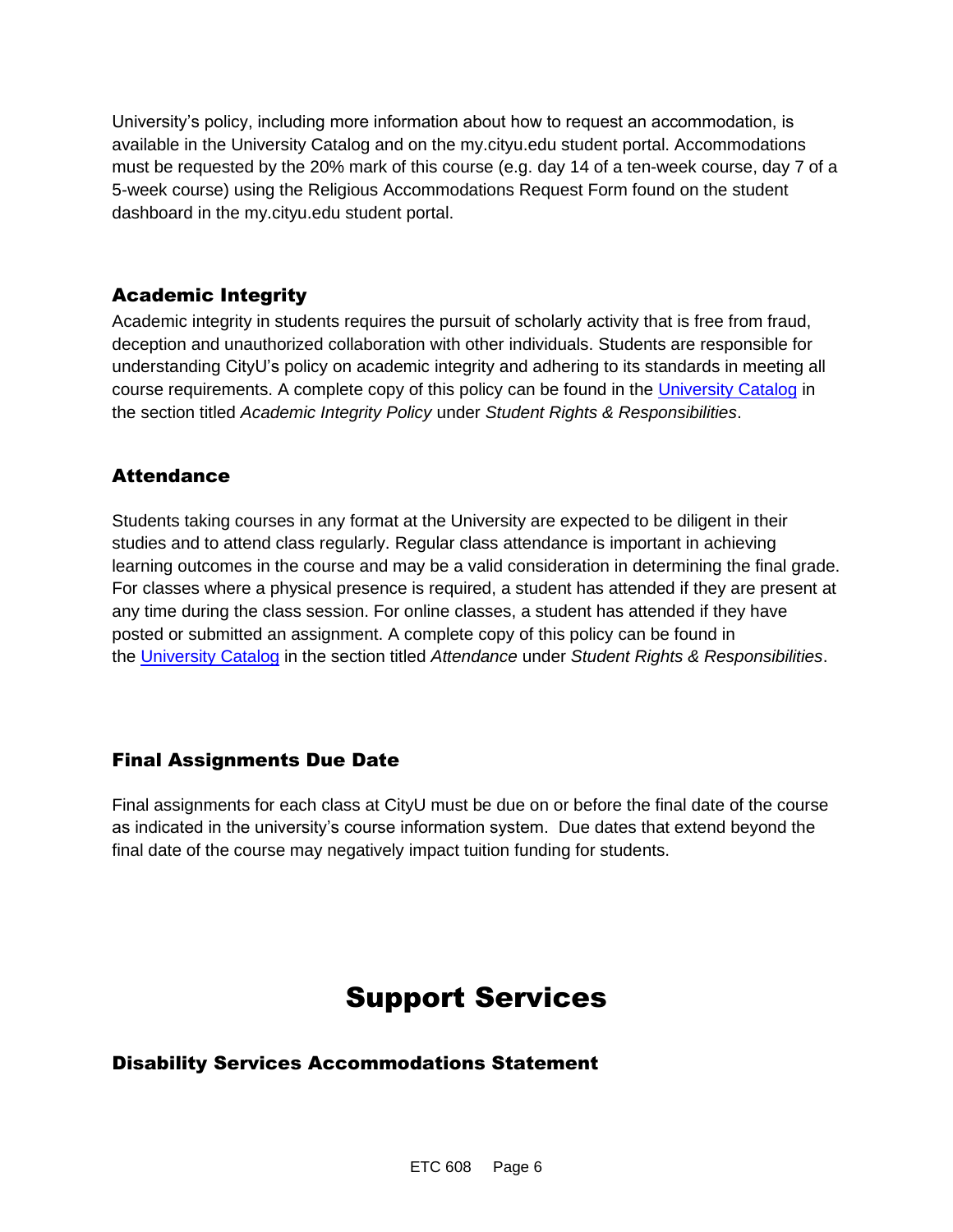University's policy, including more information about how to request an accommodation, is available in the University Catalog and on the my.cityu.edu student portal. Accommodations must be requested by the 20% mark of this course (e.g. day 14 of a ten-week course, day 7 of a 5-week course) using the Religious Accommodations Request Form found on the student dashboard in the my.cityu.edu student portal.

#### Academic Integrity

Academic integrity in students requires the pursuit of scholarly activity that is free from fraud, deception and unauthorized collaboration with other individuals. Students are responsible for understanding CityU's policy on academic integrity and adhering to its standards in meeting all course requirements. A complete copy of this policy can be found in the [University Catalog](https://nam11.safelinks.protection.outlook.com/?url=http%3A%2F%2Fwww.cityu.edu%2Fcatalog%2F&data=04%7C01%7Claker%40cityu.edu%7Cbc558c70c10340dbaa2408d9172365a0%7Cb3fa96d9f5154662add763d854e39e63%7C1%7C0%7C637566263054341952%7CUnknown%7CTWFpbGZsb3d8eyJWIjoiMC4wLjAwMDAiLCJQIjoiV2luMzIiLCJBTiI6Ik1haWwiLCJXVCI6Mn0%3D%7C1000&sdata=aL6fsSyLtVzJgdrlE9PtZXb%2F3H6wCdrvPcw4zOoEYTI%3D&reserved=0) in the section titled *Academic Integrity Policy* under *Student Rights & Responsibilities*.

#### Attendance

Students taking courses in any format at the University are expected to be diligent in their studies and to attend class regularly. Regular class attendance is important in achieving learning outcomes in the course and may be a valid consideration in determining the final grade. For classes where a physical presence is required, a student has attended if they are present at any time during the class session. For online classes, a student has attended if they have posted or submitted an assignment. A complete copy of this policy can be found in the [University Catalog](https://nam11.safelinks.protection.outlook.com/?url=http%3A%2F%2Fwww.cityu.edu%2Fcatalog%2F&data=04%7C01%7Claker%40cityu.edu%7Cbc558c70c10340dbaa2408d9172365a0%7Cb3fa96d9f5154662add763d854e39e63%7C1%7C0%7C637566263054341952%7CUnknown%7CTWFpbGZsb3d8eyJWIjoiMC4wLjAwMDAiLCJQIjoiV2luMzIiLCJBTiI6Ik1haWwiLCJXVCI6Mn0%3D%7C1000&sdata=aL6fsSyLtVzJgdrlE9PtZXb%2F3H6wCdrvPcw4zOoEYTI%3D&reserved=0) in the section titled *Attendance* under *Student Rights & Responsibilities*.

#### Final Assignments Due Date

Final assignments for each class at CityU must be due on or before the final date of the course as indicated in the university's course information system. Due dates that extend beyond the final date of the course may negatively impact tuition funding for students.

# Support Services

#### Disability Services Accommodations Statement